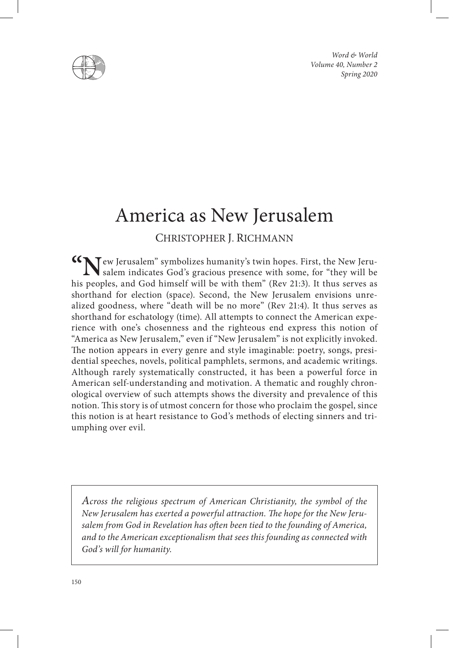*Word & World Volume 40, Number 2 Spring 2020*



# America as New Jerusalem

# CHRISTOPHER J. RICHMANN

**"N**ew Jerusalem" symbolizes humanity's twin hopes. First, the New Jerusalem indicates God's gracious presence with some, for "they will be his peoples, and God himself will be with them" (Rev 21:3). It thus serves as shorthand for election (space). Second, the New Jerusalem envisions unrealized goodness, where "death will be no more" (Rev 21:4). It thus serves as shorthand for eschatology (time). All attempts to connect the American experience with one's chosenness and the righteous end express this notion of "America as New Jerusalem," even if "New Jerusalem" is not explicitly invoked. The notion appears in every genre and style imaginable: poetry, songs, presidential speeches, novels, political pamphlets, sermons, and academic writings. Although rarely systematically constructed, it has been a powerful force in American self-understanding and motivation. A thematic and roughly chronological overview of such attempts shows the diversity and prevalence of this notion. This story is of utmost concern for those who proclaim the gospel, since this notion is at heart resistance to God's methods of electing sinners and triumphing over evil.

*Across the religious spectrum of American Christianity, the symbol of the New Jerusalem has exerted a powerful attraction. The hope for the New Jerusalem from God in Revelation has often been tied to the founding of America, and to the American exceptionalism that sees this founding as connected with God's will for humanity.*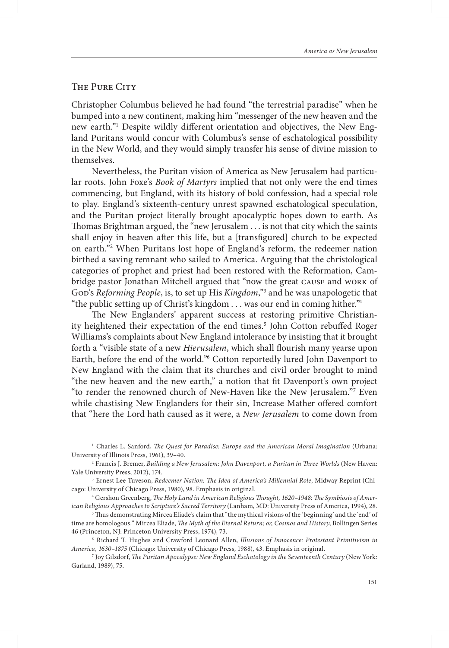## THE PURE CITY

Christopher Columbus believed he had found "the terrestrial paradise" when he bumped into a new continent, making him "messenger of the new heaven and the new earth."1 Despite wildly different orientation and objectives, the New England Puritans would concur with Columbus's sense of eschatological possibility in the New World, and they would simply transfer his sense of divine mission to themselves.

Nevertheless, the Puritan vision of America as New Jerusalem had particular roots. John Foxe's *Book of Martyrs* implied that not only were the end times commencing, but England, with its history of bold confession, had a special role to play. England's sixteenth-century unrest spawned eschatological speculation, and the Puritan project literally brought apocalyptic hopes down to earth. As Thomas Brightman argued, the "new Jerusalem . . . is not that city which the saints shall enjoy in heaven after this life, but a [transfigured] church to be expected on earth."2 When Puritans lost hope of England's reform, the redeemer nation birthed a saving remnant who sailed to America. Arguing that the christological categories of prophet and priest had been restored with the Reformation, Cambridge pastor Jonathan Mitchell argued that "now the great cause and work of God's *Reforming People*, is, to set up His *Kingdom*,"<sup>3</sup> and he was unapologetic that "the public setting up of Christ's kingdom  $\ldots$  was our end in coming hither."<sup>4</sup>

The New Englanders' apparent success at restoring primitive Christianity heightened their expectation of the end times.<sup>5</sup> John Cotton rebuffed Roger Williams's complaints about New England intolerance by insisting that it brought forth a "visible state of a new *Hierusalem*, which shall flourish many yearse upon Earth, before the end of the world."6 Cotton reportedly lured John Davenport to New England with the claim that its churches and civil order brought to mind "the new heaven and the new earth," a notion that fit Davenport's own project "to render the renowned church of New-Haven like the New Jerusalem."7 Even while chastising New Englanders for their sin, Increase Mather offered comfort that "here the Lord hath caused as it were, a *New Jerusalem* to come down from

1 Charles L. Sanford, *The Quest for Paradise: Europe and the American Moral Imagination* (Urbana: University of Illinois Press, 1961), 39–40.

2 Francis J. Bremer, *Building a New Jerusalem: John Davenport, a Puritan in Three Worlds* (New Haven: Yale University Press, 2012), 174.

3 Ernest Lee Tuveson, *Redeemer Nation: The Idea of America's Millennial Role*, Midway Reprint (Chicago: University of Chicago Press, 1980), 98. Emphasis in original. 4 Gershon Greenberg, *The Holy Land in American Religious Thought, 1620–1948: The Symbiosis of Amer-*

*ican Religious Approaches to Scripture's Sacred Territory* (Lanham, MD: University Press of America, 1994), 28.

5 Thus demonstrating Mircea Eliade's claim that "the mythical visions of the 'beginning' and the 'end' of time are homologous." Mircea Eliade, *The Myth of the Eternal Return; or, Cosmos and History*, Bollingen Series 46 (Princeton, NJ: Princeton University Press, 1974), 73.

6 Richard T. Hughes and Crawford Leonard Allen, *Illusions of Innocence: Protestant Primitivism in America, 1630–1875* (Chicago: University of Chicago Press, 1988), 43. Emphasis in original.

7 Joy Gilsdorf, *The Puritan Apocalypse: New England Eschatology in the Seventeenth Century* (New York: Garland, 1989), 75.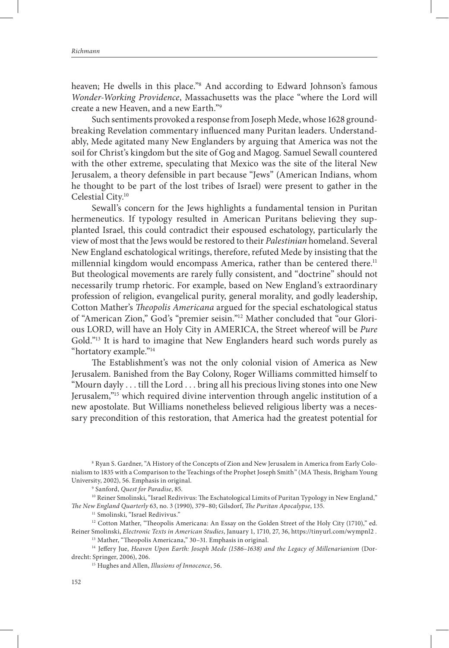heaven; He dwells in this place."8 And according to Edward Johnson's famous *Wonder-Working Providence*, Massachusetts was the place "where the Lord will create a new Heaven, and a new Earth."9

Such sentiments provoked a response from Joseph Mede, whose 1628 groundbreaking Revelation commentary influenced many Puritan leaders. Understandably, Mede agitated many New Englanders by arguing that America was not the soil for Christ's kingdom but the site of Gog and Magog. Samuel Sewall countered with the other extreme, speculating that Mexico was the site of the literal New Jerusalem, a theory defensible in part because "Jews" (American Indians, whom he thought to be part of the lost tribes of Israel) were present to gather in the Celestial City.10

Sewall's concern for the Jews highlights a fundamental tension in Puritan hermeneutics. If typology resulted in American Puritans believing they supplanted Israel, this could contradict their espoused eschatology, particularly the view of most that the Jews would be restored to their *Palestinian* homeland. Several New England eschatological writings, therefore, refuted Mede by insisting that the millennial kingdom would encompass America, rather than be centered there.<sup>11</sup> But theological movements are rarely fully consistent, and "doctrine" should not necessarily trump rhetoric. For example, based on New England's extraordinary profession of religion, evangelical purity, general morality, and godly leadership, Cotton Mather's *Theopolis Americana* argued for the special eschatological status of "American Zion," God's "premier seisin."12 Mather concluded that "our Glorious LORD, will have an Holy City in AMERICA, the Street whereof will be *Pure* Gold."13 It is hard to imagine that New Englanders heard such words purely as "hortatory example."14

The Establishment's was not the only colonial vision of America as New Jerusalem. Banished from the Bay Colony, Roger Williams committed himself to "Mourn dayly . . . till the Lord . . . bring all his precious living stones into one New Jerusalem,"15 which required divine intervention through angelic institution of a new apostolate. But Williams nonetheless believed religious liberty was a necessary precondition of this restoration, that America had the greatest potential for

<sup>10</sup> Reiner Smolinski, "Israel Redivivus: The Eschatological Limits of Puritan Typology in New England," *The New England Quarterly* 63, no. 3 (1990), 379–80; Gilsdorf, *The Puritan Apocalypse*, 135.

<sup>11</sup> Smolinski, "Israel Redivivus."

<sup>12</sup> Cotton Mather, "Theopolis Americana: An Essay on the Golden Street of the Holy City (1710)," ed. Reiner Smolinski, *Electronic Texts in American Studies*, January 1, 1710, 27, 36, https://tinyurl.com/wympnl2 .

13 Mather, "Theopolis Americana," 30–31. Emphasis in original.

14 Jeffery Jue, *Heaven Upon Earth: Joseph Mede (1586–1638) and the Legacy of Millenarianism* (Dordrecht: Springer, 2006), 206.

15 Hughes and Allen, *Illusions of Innocence*, 56.

<sup>8</sup> Ryan S. Gardner, "A History of the Concepts of Zion and New Jerusalem in America from Early Colonialism to 1835 with a Comparison to the Teachings of the Prophet Joseph Smith" (MA Thesis, Brigham Young University, 2002), 56. Emphasis in original.

<sup>9</sup> Sanford, *Quest for Paradise*, 85.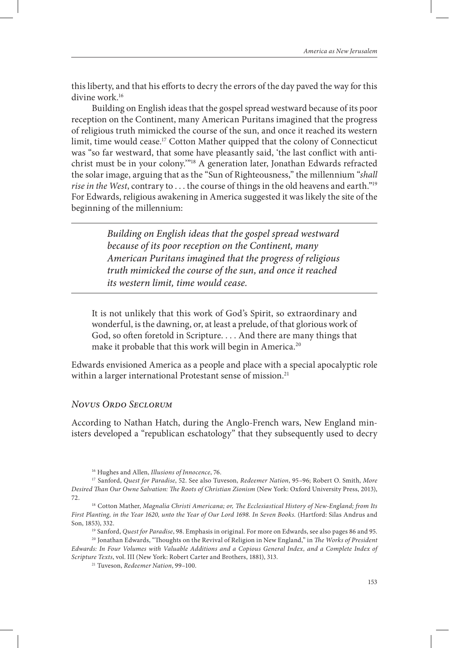this liberty, and that his efforts to decry the errors of the day paved the way for this divine work.<sup>16</sup>

Building on English ideas that the gospel spread westward because of its poor reception on the Continent, many American Puritans imagined that the progress of religious truth mimicked the course of the sun, and once it reached its western limit, time would cease.17 Cotton Mather quipped that the colony of Connecticut was "so far westward, that some have pleasantly said, 'the last conflict with antichrist must be in your colony.'"18 A generation later, Jonathan Edwards refracted the solar image, arguing that as the "Sun of Righteousness," the millennium "*shall rise in the West*, contrary to . . . the course of things in the old heavens and earth."19 For Edwards, religious awakening in America suggested it was likely the site of the beginning of the millennium:

> *Building on English ideas that the gospel spread westward because of its poor reception on the Continent, many American Puritans imagined that the progress of religious truth mimicked the course of the sun, and once it reached its western limit, time would cease.*

It is not unlikely that this work of God's Spirit, so extraordinary and wonderful, is the dawning, or, at least a prelude, of that glorious work of God, so often foretold in Scripture. . . . And there are many things that make it probable that this work will begin in America.<sup>20</sup>

Edwards envisioned America as a people and place with a special apocalyptic role within a larger international Protestant sense of mission.<sup>21</sup>

#### *Novus Ordo Seclorum*

According to Nathan Hatch, during the Anglo-French wars, New England ministers developed a "republican eschatology" that they subsequently used to decry

16 Hughes and Allen, *Illusions of Innocence*, 76.

21 Tuveson, *Redeemer Nation*, 99–100.

<sup>17</sup> Sanford, *Quest for Paradise*, 52. See also Tuveson, *Redeemer Nation*, 95–96; Robert O. Smith, *More Desired Than Our Owne Salvation: The Roots of Christian Zionism* (New York: Oxford University Press, 2013),

<sup>72. 18</sup> Cotton Mather, *Magnalia Christi Americana; or, The Ecclesiastical History of New-England; from Its First Planting, in the Year 1620, unto the Year of Our Lord 1698. In Seven Books.* (Hartford: Silas Andrus and Son, 1853), 332.

<sup>19</sup> Sanford, *Quest for Paradise*, 98. Emphasis in original. For more on Edwards, see also pages 86 and 95.

<sup>20</sup> Jonathan Edwards, "Thoughts on the Revival of Religion in New England," in *The Works of President Edwards: In Four Volumes with Valuable Additions and a Copious General Index, and a Complete Index of Scripture Texts*, vol. III (New York: Robert Carter and Brothers, 1881), 313.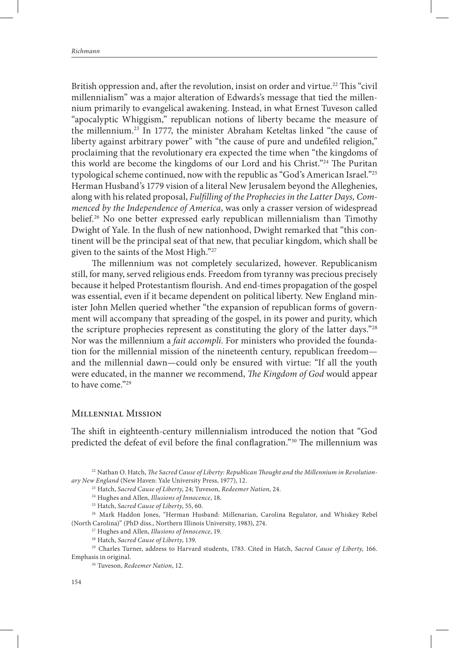British oppression and, after the revolution, insist on order and virtue.<sup>22</sup> This "civil millennialism" was a major alteration of Edwards's message that tied the millennium primarily to evangelical awakening. Instead, in what Ernest Tuveson called "apocalyptic Whiggism," republican notions of liberty became the measure of the millennium.<sup>23</sup> In 1777, the minister Abraham Keteltas linked "the cause of liberty against arbitrary power" with "the cause of pure and undefiled religion," proclaiming that the revolutionary era expected the time when "the kingdoms of this world are become the kingdoms of our Lord and his Christ."24 The Puritan typological scheme continued, now with the republic as "God's American Israel."25 Herman Husband's 1779 vision of a literal New Jerusalem beyond the Alleghenies, along with his related proposal, *Fulfilling of the Prophecies in the Latter Days, Commenced by the Independence of America*, was only a crasser version of widespread belief.26 No one better expressed early republican millennialism than Timothy Dwight of Yale. In the flush of new nationhood, Dwight remarked that "this continent will be the principal seat of that new, that peculiar kingdom, which shall be given to the saints of the Most High."27

The millennium was not completely secularized, however. Republicanism still, for many, served religious ends. Freedom from tyranny was precious precisely because it helped Protestantism flourish. And end-times propagation of the gospel was essential, even if it became dependent on political liberty. New England minister John Mellen queried whether "the expansion of republican forms of government will accompany that spreading of the gospel, in its power and purity, which the scripture prophecies represent as constituting the glory of the latter days."28 Nor was the millennium a *fait accompli*. For ministers who provided the foundation for the millennial mission of the nineteenth century, republican freedom and the millennial dawn—could only be ensured with virtue: "If all the youth were educated, in the manner we recommend, *The Kingdom of God* would appear to have come."<sup>29</sup>

#### Millennial Mission

The shift in eighteenth-century millennialism introduced the notion that "God predicted the defeat of evil before the final conflagration."30 The millennium was

26 Mark Haddon Jones, "Herman Husband: Millenarian, Carolina Regulator, and Whiskey Rebel (North Carolina)" (PhD diss., Northern Illinois University, 1983), 274.

27 Hughes and Allen, *Illusions of Innocence*, 19.

28 Hatch, *Sacred Cause of Liberty*, 139.

29 Charles Turner, address to Harvard students, 1783. Cited in Hatch, *Sacred Cause of Liberty*, 166. Emphasis in original.

30 Tuveson, *Redeemer Nation*, 12.

<sup>&</sup>lt;sup>22</sup> Nathan O. Hatch, *The Sacred Cause of Liberty: Republican Thought and the Millennium in Revolutionary New England* (New Haven: Yale University Press, 1977), 12.

<sup>23</sup> Hatch, *Sacred Cause of Liberty*, 24; Tuveson, *Redeemer Nation*, 24.

<sup>24</sup> Hughes and Allen, *Illusions of Innocence*, 18.

<sup>25</sup> Hatch, *Sacred Cause of Liberty*, 55, 60.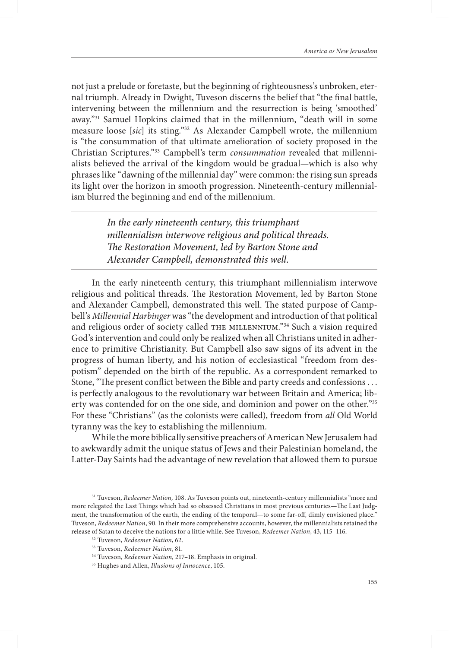not just a prelude or foretaste, but the beginning of righteousness's unbroken, eternal triumph. Already in Dwight, Tuveson discerns the belief that "the final battle, intervening between the millennium and the resurrection is being 'smoothed' away."31 Samuel Hopkins claimed that in the millennium, "death will in some measure loose [*sic*] its sting."32 As Alexander Campbell wrote, the millennium is "the consummation of that ultimate amelioration of society proposed in the Christian Scriptures."33 Campbell's term *consummation* revealed that millennialists believed the arrival of the kingdom would be gradual—which is also why phrases like "dawning of the millennial day" were common: the rising sun spreads its light over the horizon in smooth progression. Nineteenth-century millennialism blurred the beginning and end of the millennium.

> *In the early nineteenth century, this triumphant millennialism interwove religious and political threads. The Restoration Movement, led by Barton Stone and Alexander Campbell, demonstrated this well.*

In the early nineteenth century, this triumphant millennialism interwove religious and political threads. The Restoration Movement, led by Barton Stone and Alexander Campbell, demonstrated this well. The stated purpose of Campbell's *Millennial Harbinger* was "the development and introduction of that political and religious order of society called THE MILLENNIUM."<sup>34</sup> Such a vision required God's intervention and could only be realized when all Christians united in adherence to primitive Christianity. But Campbell also saw signs of its advent in the progress of human liberty, and his notion of ecclesiastical "freedom from despotism" depended on the birth of the republic. As a correspondent remarked to Stone, "The present conflict between the Bible and party creeds and confessions . . . is perfectly analogous to the revolutionary war between Britain and America; liberty was contended for on the one side, and dominion and power on the other."<sup>35</sup> For these "Christians" (as the colonists were called), freedom from *all* Old World tyranny was the key to establishing the millennium.

While the more biblically sensitive preachers of American New Jerusalem had to awkwardly admit the unique status of Jews and their Palestinian homeland, the Latter-Day Saints had the advantage of new revelation that allowed them to pursue

<sup>31</sup> Tuveson, *Redeemer Nation,* 108. As Tuveson points out, nineteenth-century millennialists "more and more relegated the Last Things which had so obsessed Christians in most previous centuries—The Last Judgment, the transformation of the earth, the ending of the temporal—to some far-off, dimly envisioned place." Tuveson, *Redeemer Nation*, 90. In their more comprehensive accounts, however, the millennialists retained the release of Satan to deceive the nations for a little while. See Tuveson, *Redeemer Nation*, 43, 115–116.

<sup>32</sup> Tuveson, *Redeemer Nation*, 62.

<sup>33</sup> Tuveson, *Redeemer Nation*, 81.

<sup>34</sup> Tuveson, *Redeemer Nation,* 217–18. Emphasis in original. 35 Hughes and Allen, *Illusions of Innocence*, 105.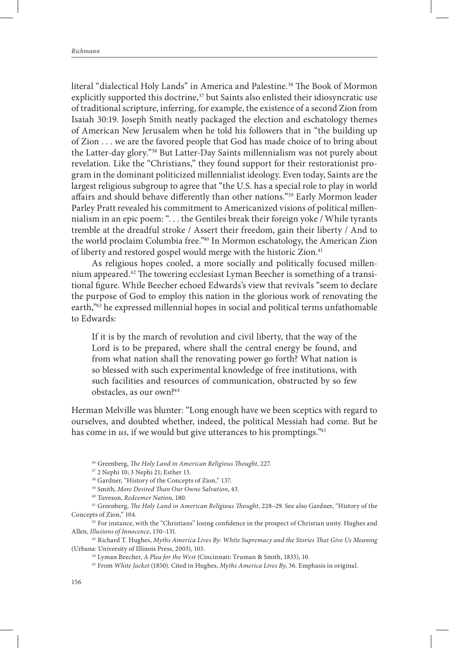literal "dialectical Holy Lands" in America and Palestine.<sup>36</sup> The Book of Mormon explicitly supported this doctrine, $37$  but Saints also enlisted their idiosyncratic use of traditional scripture, inferring, for example, the existence of a second Zion from Isaiah 30:19. Joseph Smith neatly packaged the election and eschatology themes of American New Jerusalem when he told his followers that in "the building up of Zion . . . we are the favored people that God has made choice of to bring about the Latter-day glory."38 But Latter-Day Saints millennialism was not purely about revelation. Like the "Christians," they found support for their restorationist program in the dominant politicized millennialist ideology. Even today, Saints are the largest religious subgroup to agree that "the U.S. has a special role to play in world affairs and should behave differently than other nations."39 Early Mormon leader Parley Pratt revealed his commitment to Americanized visions of political millennialism in an epic poem: ". . . the Gentiles break their foreign yoke / While tyrants tremble at the dreadful stroke / Assert their freedom, gain their liberty / And to the world proclaim Columbia free."<sup>40</sup> In Mormon eschatology, the American Zion of liberty and restored gospel would merge with the historic Zion.<sup>41</sup>

As religious hopes cooled, a more socially and politically focused millennium appeared.42 The towering ecclesiast Lyman Beecher is something of a transitional figure. While Beecher echoed Edwards's view that revivals "seem to declare the purpose of God to employ this nation in the glorious work of renovating the earth,"43 he expressed millennial hopes in social and political terms unfathomable to Edwards:

If it is by the march of revolution and civil liberty, that the way of the Lord is to be prepared, where shall the central energy be found, and from what nation shall the renovating power go forth? What nation is so blessed with such experimental knowledge of free institutions, with such facilities and resources of communication, obstructed by so few obstacles, as our own?44

Herman Melville was blunter: "Long enough have we been sceptics with regard to ourselves, and doubted whether, indeed, the political Messiah had come. But he has come in *us*, if we would but give utterances to his promptings."45

<sup>36</sup> Greenberg, *The Holy Land in American Religious Thought*, 227.<br><sup>37</sup> 2 Nephi 10; 3 Nephi 21; Esther 13.

<sup>38</sup> Gardner, "History of the Concepts of Zion," 137.

39 Smith, *More Desired Than Our Owne Salvation*, 43.

40 Tuveson, *Redeemer Nation*, 180.

41 Greenberg, *The Holy Land in American Religious Thought*, 228–29. See also Gardner, "History of the Concepts of Zion," 104.

<sup>42</sup> For instance, with the "Christians" losing confidence in the prospect of Christian unity. Hughes and Allen, *Illusions of Innocence*, 130–131.

43 Richard T. Hughes, *Myths America Lives By: White Supremacy and the Stories That Give Us Meaning*  (Urbana: University of Illinois Press, 2003), 103.

44 Lyman Beecher, *A Plea for the West* (Cincinnati: Truman & Smith, 1835), 10.

45 From *White Jacket* (1850). Cited in Hughes, *Myths America Lives By*, 36. Emphasis in original.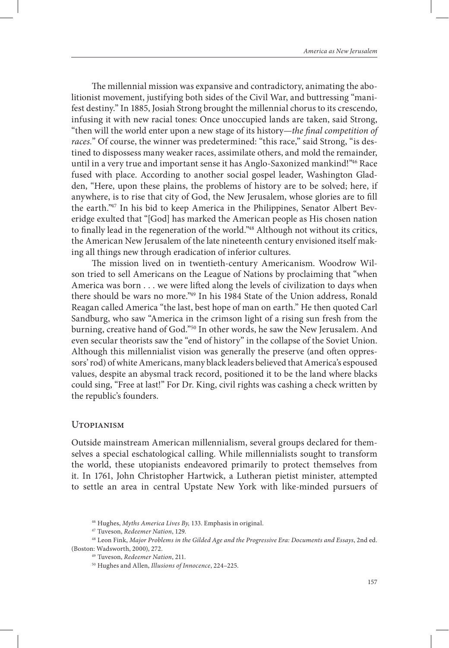The millennial mission was expansive and contradictory, animating the abolitionist movement, justifying both sides of the Civil War, and buttressing "manifest destiny." In 1885, Josiah Strong brought the millennial chorus to its crescendo, infusing it with new racial tones: Once unoccupied lands are taken, said Strong, "then will the world enter upon a new stage of its history—*the final competition of*  races." Of course, the winner was predetermined: "this race," said Strong, "is destined to dispossess many weaker races, assimilate others, and mold the remainder, until in a very true and important sense it has Anglo-Saxonized mankind!"46 Race fused with place. According to another social gospel leader, Washington Gladden, "Here, upon these plains, the problems of history are to be solved; here, if anywhere, is to rise that city of God, the New Jerusalem, whose glories are to fill the earth."47 In his bid to keep America in the Philippines, Senator Albert Beveridge exulted that "[God] has marked the American people as His chosen nation to finally lead in the regeneration of the world."<sup>48</sup> Although not without its critics, the American New Jerusalem of the late nineteenth century envisioned itself making all things new through eradication of inferior cultures.

The mission lived on in twentieth-century Americanism. Woodrow Wilson tried to sell Americans on the League of Nations by proclaiming that "when America was born . . . we were lifted along the levels of civilization to days when there should be wars no more."49 In his 1984 State of the Union address, Ronald Reagan called America "the last, best hope of man on earth." He then quoted Carl Sandburg, who saw "America in the crimson light of a rising sun fresh from the burning, creative hand of God."50 In other words, he saw the New Jerusalem. And even secular theorists saw the "end of history" in the collapse of the Soviet Union. Although this millennialist vision was generally the preserve (and often oppressors' rod) of white Americans, many black leaders believed that America's espoused values, despite an abysmal track record, positioned it to be the land where blacks could sing, "Free at last!" For Dr. King, civil rights was cashing a check written by the republic's founders.

#### Utopianism

Outside mainstream American millennialism, several groups declared for themselves a special eschatological calling. While millennialists sought to transform the world, these utopianists endeavored primarily to protect themselves from it. In 1761, John Christopher Hartwick, a Lutheran pietist minister, attempted to settle an area in central Upstate New York with like-minded pursuers of

<sup>46</sup> Hughes, *Myths America Lives By,* 133. Emphasis in original.

<sup>47</sup> Tuveson, *Redeemer Nation*, 129.

<sup>48</sup> Leon Fink, *Major Problems in the Gilded Age and the Progressive Era: Documents and Essays*, 2nd ed. (Boston: Wadsworth, 2000), 272.

<sup>49</sup> Tuveson, *Redeemer Nation*, 211.

<sup>50</sup> Hughes and Allen, *Illusions of Innocence*, 224–225.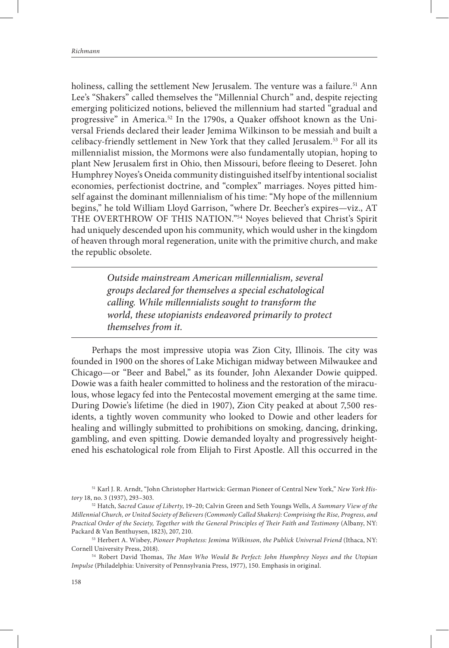holiness, calling the settlement New Jerusalem. The venture was a failure.<sup>51</sup> Ann Lee's "Shakers" called themselves the "Millennial Church" and, despite rejecting emerging politicized notions, believed the millennium had started "gradual and progressive" in America.<sup>52</sup> In the 1790s, a Quaker offshoot known as the Universal Friends declared their leader Jemima Wilkinson to be messiah and built a celibacy-friendly settlement in New York that they called Jerusalem.53 For all its millennialist mission, the Mormons were also fundamentally utopian, hoping to plant New Jerusalem first in Ohio, then Missouri, before fleeing to Deseret. John Humphrey Noyes's Oneida community distinguished itself by intentional socialist economies, perfectionist doctrine, and "complex" marriages. Noyes pitted himself against the dominant millennialism of his time: "My hope of the millennium begins," he told William Lloyd Garrison, "where Dr. Beecher's expires—viz., AT THE OVERTHROW OF THIS NATION."54 Noyes believed that Christ's Spirit had uniquely descended upon his community, which would usher in the kingdom of heaven through moral regeneration, unite with the primitive church, and make the republic obsolete.

> *Outside mainstream American millennialism, several groups declared for themselves a special eschatological calling. While millennialists sought to transform the world, these utopianists endeavored primarily to protect themselves from it.*

Perhaps the most impressive utopia was Zion City, Illinois. The city was founded in 1900 on the shores of Lake Michigan midway between Milwaukee and Chicago—or "Beer and Babel," as its founder, John Alexander Dowie quipped. Dowie was a faith healer committed to holiness and the restoration of the miraculous, whose legacy fed into the Pentecostal movement emerging at the same time. During Dowie's lifetime (he died in 1907), Zion City peaked at about 7,500 residents, a tightly woven community who looked to Dowie and other leaders for healing and willingly submitted to prohibitions on smoking, dancing, drinking, gambling, and even spitting. Dowie demanded loyalty and progressively heightened his eschatological role from Elijah to First Apostle. All this occurred in the

51 Karl J. R. Arndt, "John Christopher Hartwick: German Pioneer of Central New York," *New York History* 18, no. 3 (1937), 293–303.

53 Herbert A. Wisbey, *Pioneer Prophetess: Jemima Wilkinson, the Publick Universal Friend* (Ithaca, NY: Cornell University Press, 2018).

54 Robert David Thomas, *The Man Who Would Be Perfect: John Humphrey Noyes and the Utopian Impulse* (Philadelphia: University of Pennsylvania Press, 1977), 150. Emphasis in original.

<sup>52</sup> Hatch, *Sacred Cause of Liberty*, 19–20; Calvin Green and Seth Youngs Wells, *A Summary View of the Millennial Church, or United Society of Believers (Commonly Called Shakers): Comprising the Rise, Progress, and Practical Order of the Society, Together with the General Principles of Their Faith and Testimony* (Albany, NY: Packard & Van Benthuysen, 1823), 207, 210.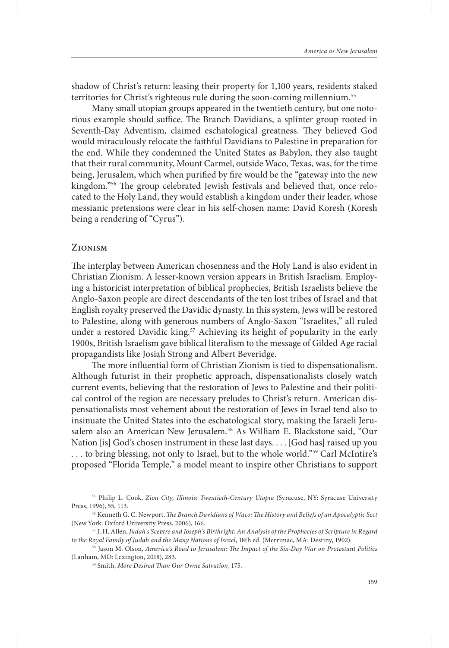shadow of Christ's return: leasing their property for 1,100 years, residents staked territories for Christ's righteous rule during the soon-coming millennium.<sup>55</sup>

Many small utopian groups appeared in the twentieth century, but one notorious example should suffice. The Branch Davidians, a splinter group rooted in Seventh-Day Adventism, claimed eschatological greatness. They believed God would miraculously relocate the faithful Davidians to Palestine in preparation for the end. While they condemned the United States as Babylon, they also taught that their rural community, Mount Carmel, outside Waco, Texas, was, for the time being, Jerusalem, which when purified by fire would be the "gateway into the new kingdom."56 The group celebrated Jewish festivals and believed that, once relocated to the Holy Land, they would establish a kingdom under their leader, whose messianic pretensions were clear in his self-chosen name: David Koresh (Koresh being a rendering of "Cyrus").

### Zionism

The interplay between American chosenness and the Holy Land is also evident in Christian Zionism. A lesser-known version appears in British Israelism. Employing a historicist interpretation of biblical prophecies, British Israelists believe the Anglo-Saxon people are direct descendants of the ten lost tribes of Israel and that English royalty preserved the Davidic dynasty. In this system, Jews will be restored to Palestine, along with generous numbers of Anglo-Saxon "Israelites," all ruled under a restored Davidic king.<sup>57</sup> Achieving its height of popularity in the early 1900s, British Israelism gave biblical literalism to the message of Gilded Age racial propagandists like Josiah Strong and Albert Beveridge.

The more influential form of Christian Zionism is tied to dispensationalism. Although futurist in their prophetic approach, dispensationalists closely watch current events, believing that the restoration of Jews to Palestine and their political control of the region are necessary preludes to Christ's return. American dispensationalists most vehement about the restoration of Jews in Israel tend also to insinuate the United States into the eschatological story, making the Israeli Jerusalem also an American New Jerusalem.<sup>58</sup> As William E. Blackstone said, "Our Nation [is] God's chosen instrument in these last days. . . . [God has] raised up you ... to bring blessing, not only to Israel, but to the whole world."<sup>59</sup> Carl McIntire's proposed "Florida Temple," a model meant to inspire other Christians to support

<sup>55</sup> Philip L. Cook, *Zion City, Illinois: Twentieth-Century Utopia* (Syracuse, NY: Syracuse University Press, 1996), 55, 113.

<sup>56</sup> Kenneth G. C. Newport, *The Branch Davidians of Waco: The History and Beliefs of an Apocalyptic Sect* (New York: Oxford University Press, 2006), 166.

<sup>57</sup> J. H. Allen, *Judah's Sceptre and Joseph's Birthright: An Analysis of the Prophecies of Scripture in Regard* 

*to the Royal Family of Judah and the Many Nations of Israel*, 18th ed. (Merrimac, MA: Destiny, 1902). 58 Jason M. Olson, *America's Road to Jerusalem: The Impact of the Six-Day War on Protestant Politics* (Lanham, MD: Lexington, 2018), 283.

<sup>59</sup> Smith, *More Desired Than Our Owne Salvation*, 175.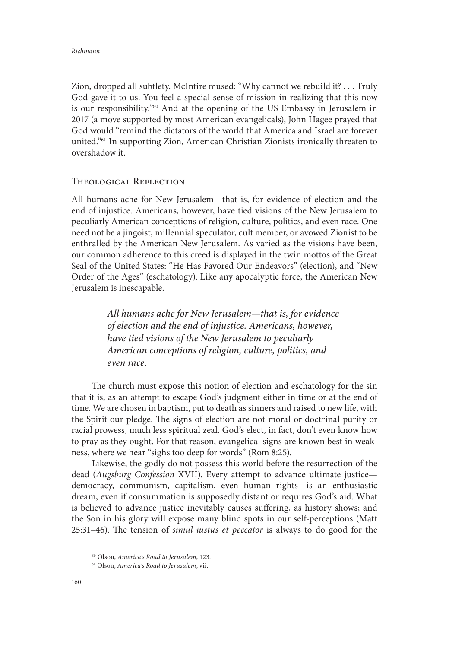Zion, dropped all subtlety. McIntire mused: "Why cannot we rebuild it? . . . Truly God gave it to us. You feel a special sense of mission in realizing that this now is our responsibility."60 And at the opening of the US Embassy in Jerusalem in 2017 (a move supported by most American evangelicals), John Hagee prayed that God would "remind the dictators of the world that America and Israel are forever united."61 In supporting Zion, American Christian Zionists ironically threaten to overshadow it.

#### Theological Reflection

All humans ache for New Jerusalem—that is, for evidence of election and the end of injustice. Americans, however, have tied visions of the New Jerusalem to peculiarly American conceptions of religion, culture, politics, and even race. One need not be a jingoist, millennial speculator, cult member, or avowed Zionist to be enthralled by the American New Jerusalem. As varied as the visions have been, our common adherence to this creed is displayed in the twin mottos of the Great Seal of the United States: "He Has Favored Our Endeavors" (election), and "New Order of the Ages" (eschatology). Like any apocalyptic force, the American New Jerusalem is inescapable.

> *All humans ache for New Jerusalem—that is, for evidence of election and the end of injustice. Americans, however, have tied visions of the New Jerusalem to peculiarly American conceptions of religion, culture, politics, and even race.*

The church must expose this notion of election and eschatology for the sin that it is, as an attempt to escape God's judgment either in time or at the end of time. We are chosen in baptism, put to death as sinners and raised to new life, with the Spirit our pledge. The signs of election are not moral or doctrinal purity or racial prowess, much less spiritual zeal. God's elect, in fact, don't even know how to pray as they ought. For that reason, evangelical signs are known best in weakness, where we hear "sighs too deep for words" (Rom 8:25).

Likewise, the godly do not possess this world before the resurrection of the dead (*Augsburg Confession* XVII). Every attempt to advance ultimate justice democracy, communism, capitalism, even human rights—is an enthusiastic dream, even if consummation is supposedly distant or requires God's aid. What is believed to advance justice inevitably causes suffering, as history shows; and the Son in his glory will expose many blind spots in our self-perceptions (Matt 25:31–46). The tension of *simul iustus et peccator* is always to do good for the

<sup>60</sup> Olson, *America's Road to Jerusalem*, 123.

<sup>61</sup> Olson, *America's Road to Jerusalem*, vii.